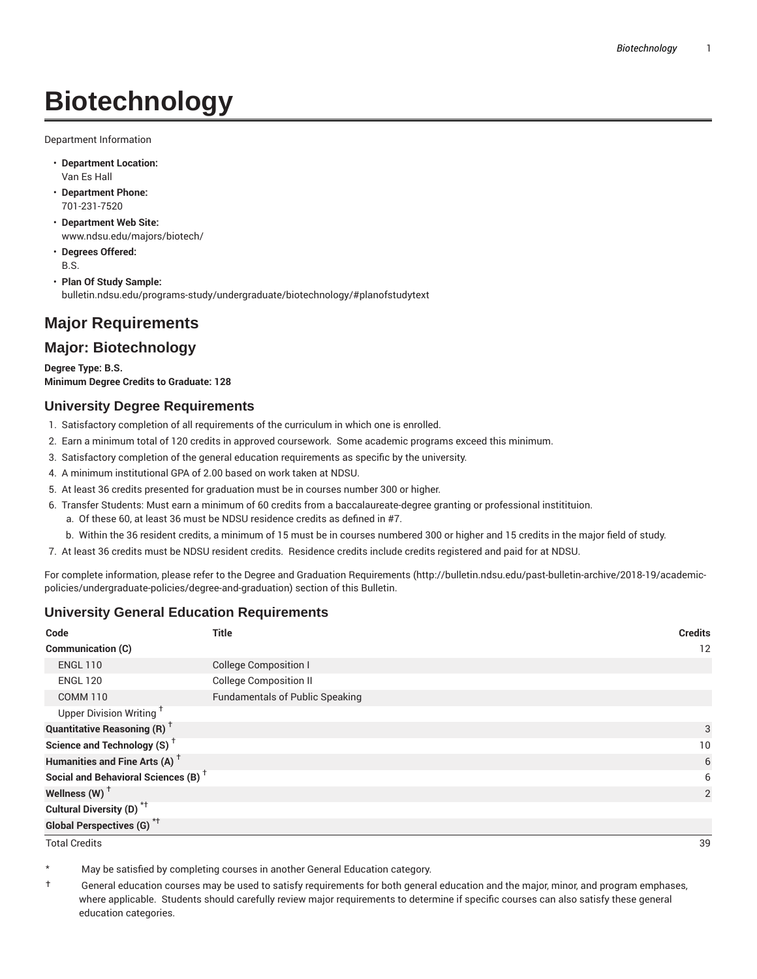# **Biotechnology**

Department Information

- **Department Location:** Van Es Hall
- **Department Phone:** 701-231-7520
- **Department Web Site:** www.ndsu.edu/majors/biotech/
- **Degrees Offered:** B.S.
- **Plan Of Study Sample:** bulletin.ndsu.edu/programs-study/undergraduate/biotechnology/#planofstudytext

# **Major Requirements**

# **Major: Biotechnology**

**Degree Type: B.S. Minimum Degree Credits to Graduate: 128**

## **University Degree Requirements**

- 1. Satisfactory completion of all requirements of the curriculum in which one is enrolled.
- 2. Earn a minimum total of 120 credits in approved coursework. Some academic programs exceed this minimum.
- 3. Satisfactory completion of the general education requirements as specific by the university.
- 4. A minimum institutional GPA of 2.00 based on work taken at NDSU.
- 5. At least 36 credits presented for graduation must be in courses number 300 or higher.
- 6. Transfer Students: Must earn a minimum of 60 credits from a baccalaureate-degree granting or professional institituion.
	- a. Of these 60, at least 36 must be NDSU residence credits as defined in #7.
	- b. Within the 36 resident credits, a minimum of 15 must be in courses numbered 300 or higher and 15 credits in the major field of study.
- 7. At least 36 credits must be NDSU resident credits. Residence credits include credits registered and paid for at NDSU.

For complete information, please refer to the Degree and Graduation Requirements (http://bulletin.ndsu.edu/past-bulletin-archive/2018-19/academicpolicies/undergraduate-policies/degree-and-graduation) section of this Bulletin.

## **University General Education Requirements**

| Code                                            | <b>Title</b>                           | <b>Credits</b> |
|-------------------------------------------------|----------------------------------------|----------------|
| Communication (C)                               |                                        | 12             |
| <b>ENGL 110</b>                                 | <b>College Composition I</b>           |                |
| <b>ENGL 120</b>                                 | <b>College Composition II</b>          |                |
| <b>COMM 110</b>                                 | <b>Fundamentals of Public Speaking</b> |                |
| Upper Division Writing <sup>+</sup>             |                                        |                |
| <b>Quantitative Reasoning (R)</b> <sup>†</sup>  |                                        | 3              |
| Science and Technology (S) <sup>+</sup>         |                                        | 10             |
| Humanities and Fine Arts (A) <sup>+</sup>       |                                        | 6              |
| Social and Behavioral Sciences (B) <sup>+</sup> |                                        | 6              |
| Wellness $(W)$ <sup>+</sup>                     |                                        | 2              |
| Cultural Diversity (D) <sup>*†</sup>            |                                        |                |
| <b>Global Perspectives (G)<sup>*†</sup></b>     |                                        |                |

Total Credits 39

May be satisfied by completing courses in another General Education category.

† General education courses may be used to satisfy requirements for both general education and the major, minor, and program emphases, where applicable. Students should carefully review major requirements to determine if specific courses can also satisfy these general education categories.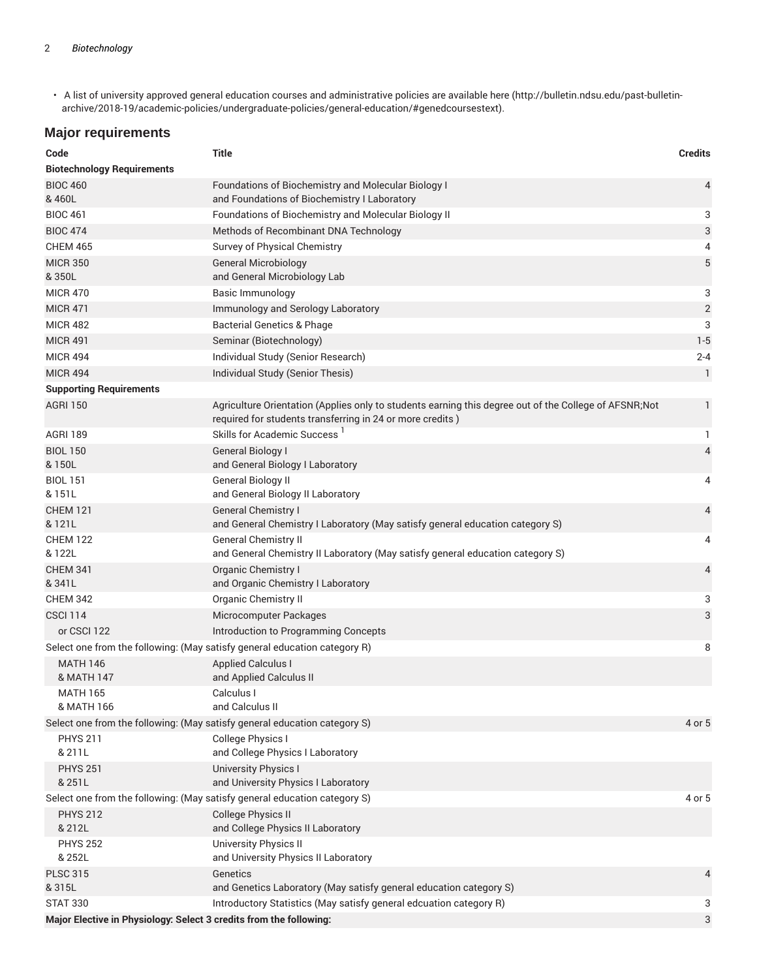• A list of university approved general education courses and administrative policies are available here (http://bulletin.ndsu.edu/past-bulletinarchive/2018-19/academic-policies/undergraduate-policies/general-education/#genedcoursestext).

# **Major requirements**

| Code                                                                           | <b>Title</b>                                                                                                                                                        | <b>Credits</b> |  |  |
|--------------------------------------------------------------------------------|---------------------------------------------------------------------------------------------------------------------------------------------------------------------|----------------|--|--|
| <b>Biotechnology Requirements</b>                                              |                                                                                                                                                                     |                |  |  |
| <b>BIOC 460</b>                                                                | Foundations of Biochemistry and Molecular Biology I                                                                                                                 | 4              |  |  |
| & 460L                                                                         | and Foundations of Biochemistry I Laboratory                                                                                                                        |                |  |  |
| <b>BIOC 461</b><br><b>BIOC 474</b>                                             | Foundations of Biochemistry and Molecular Biology II                                                                                                                | 3              |  |  |
| <b>CHEM 465</b>                                                                | Methods of Recombinant DNA Technology                                                                                                                               | 3              |  |  |
| <b>MICR 350</b>                                                                | Survey of Physical Chemistry<br><b>General Microbiology</b>                                                                                                         | 4<br>5         |  |  |
| & 350L                                                                         | and General Microbiology Lab                                                                                                                                        |                |  |  |
| <b>MICR 470</b>                                                                | <b>Basic Immunology</b>                                                                                                                                             | 3              |  |  |
| <b>MICR 471</b>                                                                | Immunology and Serology Laboratory                                                                                                                                  | $\mathbf{2}$   |  |  |
| <b>MICR 482</b>                                                                | <b>Bacterial Genetics &amp; Phage</b>                                                                                                                               | 3              |  |  |
| <b>MICR 491</b>                                                                | Seminar (Biotechnology)                                                                                                                                             | $1 - 5$        |  |  |
| <b>MICR 494</b>                                                                | Individual Study (Senior Research)                                                                                                                                  | $2 - 4$        |  |  |
| <b>MICR 494</b>                                                                | Individual Study (Senior Thesis)                                                                                                                                    | $\mathbf{1}$   |  |  |
| <b>Supporting Requirements</b>                                                 |                                                                                                                                                                     |                |  |  |
| <b>AGRI 150</b>                                                                | Agriculture Orientation (Applies only to students earning this degree out of the College of AFSNR; Not<br>required for students transferring in 24 or more credits) | 1              |  |  |
| <b>AGRI 189</b>                                                                | Skills for Academic Success <sup>1</sup>                                                                                                                            | 1.             |  |  |
| <b>BIOL 150</b>                                                                | General Biology I                                                                                                                                                   | 4              |  |  |
| & 150L                                                                         | and General Biology I Laboratory                                                                                                                                    |                |  |  |
| <b>BIOL 151</b><br>& 151L                                                      | General Biology II<br>and General Biology II Laboratory                                                                                                             | 4              |  |  |
| <b>CHEM 121</b><br>& 121L                                                      | <b>General Chemistry I</b><br>and General Chemistry I Laboratory (May satisfy general education category S)                                                         | 4              |  |  |
| <b>CHEM 122</b><br>& 122L                                                      | <b>General Chemistry II</b><br>and General Chemistry II Laboratory (May satisfy general education category S)                                                       | 4              |  |  |
| <b>CHEM 341</b><br>&341L                                                       | <b>Organic Chemistry I</b><br>and Organic Chemistry I Laboratory                                                                                                    | 4              |  |  |
| <b>CHEM 342</b>                                                                | Organic Chemistry II                                                                                                                                                | 3              |  |  |
| <b>CSCI 114</b>                                                                | Microcomputer Packages                                                                                                                                              | 3              |  |  |
| or CSCI 122                                                                    | Introduction to Programming Concepts                                                                                                                                |                |  |  |
| Select one from the following: (May satisfy general education category R)<br>8 |                                                                                                                                                                     |                |  |  |
| <b>MATH 146</b>                                                                | <b>Applied Calculus I</b>                                                                                                                                           |                |  |  |
| & MATH 147                                                                     | and Applied Calculus II                                                                                                                                             |                |  |  |
| <b>MATH 165</b>                                                                | Calculus I                                                                                                                                                          |                |  |  |
| & MATH 166                                                                     | and Calculus II                                                                                                                                                     |                |  |  |
| Select one from the following: (May satisfy general education category S)      |                                                                                                                                                                     | 4 or 5         |  |  |
| <b>PHYS 211</b><br>& 211L                                                      | College Physics I<br>and College Physics I Laboratory                                                                                                               |                |  |  |
| <b>PHYS 251</b><br>& 251L                                                      | <b>University Physics I</b><br>and University Physics I Laboratory                                                                                                  |                |  |  |
| Select one from the following: (May satisfy general education category S)      |                                                                                                                                                                     | 4 or 5         |  |  |
| <b>PHYS 212</b><br>& 212L                                                      | <b>College Physics II</b><br>and College Physics II Laboratory                                                                                                      |                |  |  |
| <b>PHYS 252</b><br>& 252L                                                      | <b>University Physics II</b><br>and University Physics II Laboratory                                                                                                |                |  |  |
| <b>PLSC 315</b><br>& 315L                                                      | Genetics<br>and Genetics Laboratory (May satisfy general education category S)                                                                                      | 4              |  |  |
| <b>STAT 330</b>                                                                | Introductory Statistics (May satisfy general edcuation category R)                                                                                                  | 3              |  |  |
| Major Elective in Physiology: Select 3 credits from the following:             |                                                                                                                                                                     | 3              |  |  |